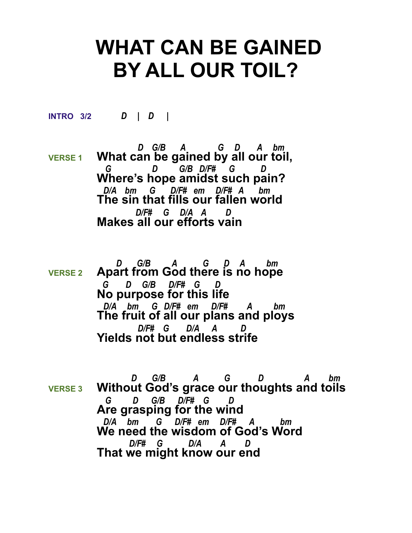## **WHAT CAN BE GAINED BY ALL OUR TOIL?**

**INTRO 3/2** *D | D |* 

 *D G/B A G D A bm*  **VERSE 1 What can be gained by all our toil,**  *G D G/B D/F# G D*  **Where's hope amidst such pain?**  *D/A bm G D/F# em D/F# A bm*  **The sin that fills our fallen world**  *D/F# G D/A A D*  **Makes all our efforts vain**

- *D G/B A G D A bm*  **VERSE 2 Apart from God there is no hope**  *G D G/B D/F# G D*  **No purpose for this life**  *D/A bm G D/F# em D/F# A bm*  **The fruit of all our plans and ploys**  *D/F# G D/A A D*  **Yields not but endless strife**
- *D G/B A G D A bm*  **VERSE 3 Without God's grace our thoughts and toils**  *G D G/B D/F# G D*  **Are grasping for the wind** *D/A bm G D/F# em D/F# A bm* **We need the wisdom of God's Word**  *D/F# G D/A A D*  **That we might know our end**